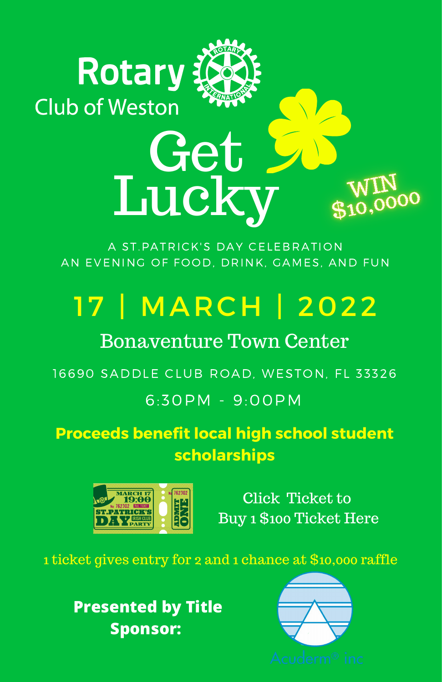## **Rotary Club of Weston**

A ST.PATRICK'S DAY CELEBRATION AN EVENING OF FOOD, DRINK, GAMES, AND FUN

Get

Lucky

## 17 | MARCH | 2022

### Bonaventure Town Center

16690 SADDLE CLUB ROAD, WESTON, FL 33326

#### 6:30PM - 9:00PM

**Proceeds benefit local high school student scholarships**



Click Ticket to Buy 1 \$100 Ticket Here

 $\frac{\rm WIN}{\$10,0000}$ 

1 ticket gives entry for 2 and 1 chance at \$10,000 raffle

**Presented by Title Sponsor:**